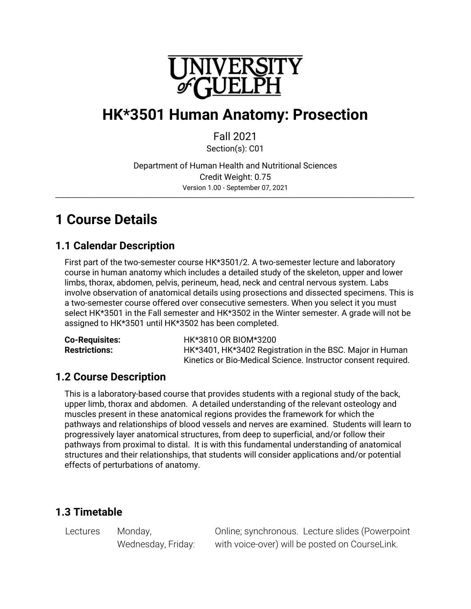

# **HK\*3501 Human Anatomy: Prosection**

Fall 2021

Section(s): C01

Department of Human Health and Nutritional Sciences Credit Weight: 0.75 Version 1.00 - September 07, 2021 \_\_\_\_\_\_\_\_\_\_\_\_\_\_\_\_\_\_\_\_\_\_\_\_\_\_\_\_\_\_\_\_\_\_\_\_\_\_\_\_\_\_\_\_\_\_\_\_\_\_\_\_\_\_\_\_\_\_\_\_\_\_\_\_\_\_\_\_\_\_\_\_\_\_\_\_\_\_\_\_\_\_\_\_\_\_\_\_\_\_\_\_\_\_\_\_\_\_\_\_\_\_\_\_\_\_\_\_\_\_\_\_\_\_\_

# **1 Course Details**

# **1.1 Calendar Description**

First part of the two-semester course HK\*3501/2. A two-semester lecture and laboratory course in human anatomy which includes a detailed study of the skeleton, upper and lower limbs, thorax, abdomen, pelvis, perineum, head, neck and central nervous system. Labs involve observation of anatomical details using prosections and dissected specimens. This is a two-semester course offered over consecutive semesters. When you select it you must select HK\*3501 in the Fall semester and HK\*3502 in the Winter semester. A grade will not be assigned to HK\*3501 until HK\*3502 has been completed.

| <b>Co-Requisites:</b> | HK*3810 OR BIOM*3200                                          |
|-----------------------|---------------------------------------------------------------|
| <b>Restrictions:</b>  | HK*3401, HK*3402 Registration in the BSC. Major in Human      |
|                       | Kinetics or Bio-Medical Science. Instructor consent required. |

# **1.2 Course Description**

This is a laboratory-based course that provides students with a regional study of the back, upper limb, thorax and abdomen. A detailed understanding of the relevant osteology and muscles present in these anatomical regions provides the framework for which the pathways and relationships of blood vessels and nerves are examined. Students will learn to progressively layer anatomical structures, from deep to superficial, and/or follow their pathways from proximal to distal. It is with this fundamental understanding of anatomical structures and their relationships, that students will consider applications and/or potential effects of perturbations of anatomy.

# **1.3 Timetable**

Lectures Monday,

Wednesday, Friday:

Online; synchronous. Lecture slides (Powerpoint with voice-over) will be posted on CourseLink.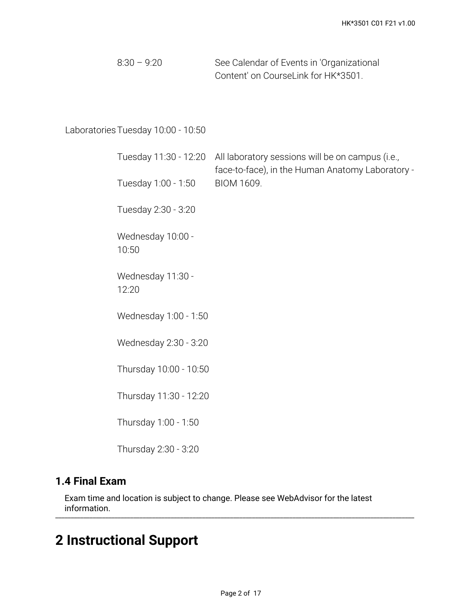| $8:30 - 9:20$ | See Calendar of Events in 'Organizational |
|---------------|-------------------------------------------|
|               | Content' on CourseLink for HK*3501.       |

# LaboratoriesTuesday 10:00 - 10:50

| Tuesday 11:30 - 12:20      | All laboratory sessions will be on campus (i.e.,<br>face-to-face), in the Human Anatomy Laboratory - |
|----------------------------|------------------------------------------------------------------------------------------------------|
| Tuesday 1:00 - 1:50        | BIOM 1609.                                                                                           |
| Tuesday 2:30 - 3:20        |                                                                                                      |
| Wednesday 10:00 -<br>10:50 |                                                                                                      |
| Wednesday 11:30 -<br>12:20 |                                                                                                      |
| Wednesday 1:00 - 1:50      |                                                                                                      |
| Wednesday 2:30 - 3:20      |                                                                                                      |
| Thursday 10:00 - 10:50     |                                                                                                      |
| Thursday 11:30 - 12:20     |                                                                                                      |
| Thursday 1:00 - 1:50       |                                                                                                      |
| Thursday 2:30 - 3:20       |                                                                                                      |

# **1.4 Final Exam**

Exam time and location is subject to change. Please see WebAdvisor for the latest information. \_\_\_\_\_\_\_\_\_\_\_\_\_\_\_\_\_\_\_\_\_\_\_\_\_\_\_\_\_\_\_\_\_\_\_\_\_\_\_\_\_\_\_\_\_\_\_\_\_\_\_\_\_\_\_\_\_\_\_\_\_\_\_\_\_\_\_\_\_\_\_\_\_\_\_\_\_\_\_\_\_\_\_\_\_\_\_\_\_\_\_\_\_\_\_\_\_\_\_\_\_\_\_\_\_\_\_\_\_\_\_\_\_\_\_

# **2 Instructional Support**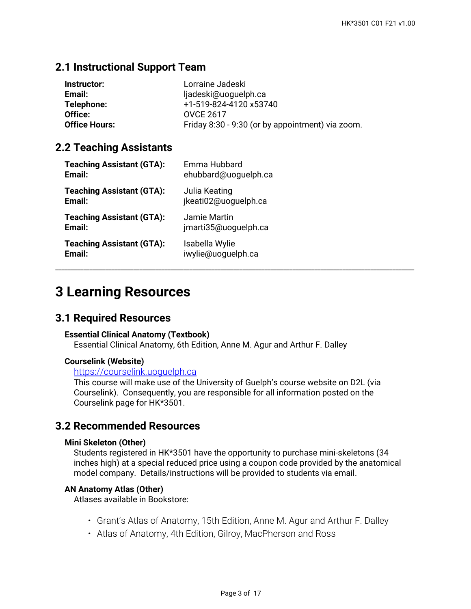# **2.1 Instructional Support Team**

| Instructor:          | Lorraine Jadeski                                 |
|----------------------|--------------------------------------------------|
| Email:               | ljadeski@uoguelph.ca                             |
| Telephone:           | +1-519-824-4120 x53740                           |
| Office:              | <b>OVCE 2617</b>                                 |
| <b>Office Hours:</b> | Friday 8:30 - 9:30 (or by appointment) via zoom. |
|                      |                                                  |

## **2.2 Teaching Assistants**

| <b>Teaching Assistant (GTA):</b> | Emma Hubbard         |
|----------------------------------|----------------------|
| Email:                           | ehubbard@uoguelph.ca |
| <b>Teaching Assistant (GTA):</b> | Julia Keating        |
| Email:                           | jkeati02@uoquelph.ca |
| <b>Teaching Assistant (GTA):</b> | Jamie Martin         |
| Email:                           | jmarti35@uoguelph.ca |
| <b>Teaching Assistant (GTA):</b> | Isabella Wylie       |
| Email:                           | iwylie@uoguelph.ca   |

# **3 Learning Resources**

## **3.1 Required Resources**

#### **Essential Clinical Anatomy (Textbook)**

Essential Clinical Anatomy, 6th Edition, Anne M. Agur and Arthur F. Dalley

#### **Courselink (Website)**

#### <https://courselink.uoguelph.ca>

This course will make use of the University of Guelph's course website on D2L (via Courselink). Consequently, you are responsible for all information posted on the Courselink page for HK\*3501.

### **3.2 Recommended Resources**

#### **Mini Skeleton (Other)**

Students registered in HK\*3501 have the opportunity to purchase mini-skeletons (34 inches high) at a special reduced price using a coupon code provided by the anatomical model company. Details/instructions will be provided to students via email.

#### **AN Anatomy Atlas (Other)**

Atlases available in Bookstore:

- Grant's Atlas of Anatomy, 15th Edition, Anne M. Agur and Arthur F. Dalley
- Atlas of Anatomy, 4th Edition, Gilroy, MacPherson and Ross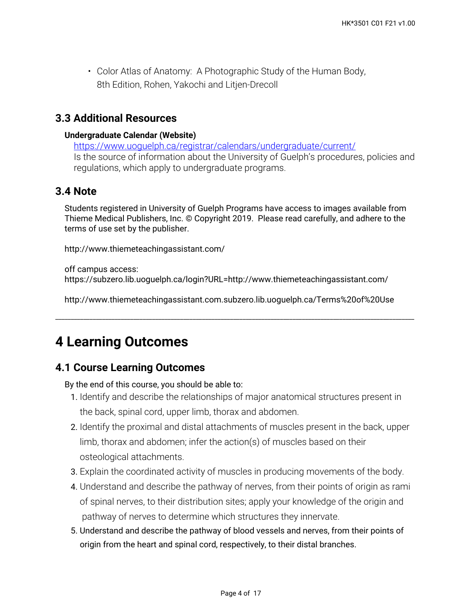• Color Atlas of Anatomy: A Photographic Study of the Human Body, 8th Edition, Rohen, Yakochi and Litjen-Drecoll

# **3.3 Additional Resources**

#### **Undergraduate Calendar (Website)**

<https://www.uoguelph.ca/registrar/calendars/undergraduate/current/> Is the source of information about the University of Guelph's procedures, policies and regulations, which apply to undergraduate programs.

# **3.4 Note**

Students registered in University of Guelph Programs have access to images available from Thieme Medical Publishers, Inc. © Copyright 2019. Please read carefully, and adhere to the terms of use set by the publisher.

http://www.thiemeteachingassistant.com/

off campus access: https://subzero.lib.uoguelph.ca/login?URL=http://www.thiemeteachingassistant.com/

http://www.thiemeteachingassistant.com.subzero.lib.uoguelph.ca/Terms%20of%20Use

\_\_\_\_\_\_\_\_\_\_\_\_\_\_\_\_\_\_\_\_\_\_\_\_\_\_\_\_\_\_\_\_\_\_\_\_\_\_\_\_\_\_\_\_\_\_\_\_\_\_\_\_\_\_\_\_\_\_\_\_\_\_\_\_\_\_\_\_\_\_\_\_\_\_\_\_\_\_\_\_\_\_\_\_\_\_\_\_\_\_\_\_\_\_\_\_\_\_\_\_\_\_\_\_\_\_\_\_\_\_\_\_\_\_\_

# **4 Learning Outcomes**

# **4.1 Course Learning Outcomes**

By the end of this course, you should be able to:

- 1. Identify and describe the relationships of major anatomical structures present in the back, spinal cord, upper limb, thorax and abdomen.
- 2. Identify the proximal and distal attachments of muscles present in the back, upper limb, thorax and abdomen; infer the action(s) of muscles based on their osteological attachments.
- 3. Explain the coordinated activity of muscles in producing movements of the body.
- **4**. Understand and describe the pathway of nerves, from their points of origin as rami of spinal nerves, to their distribution sites; apply your knowledge of the origin and pathway of nerves to determine which structures they innervate.
- 5. Understand and describe the pathway of blood vessels and nerves, from their points of origin from the heart and spinal cord, respectively, to their distal branches.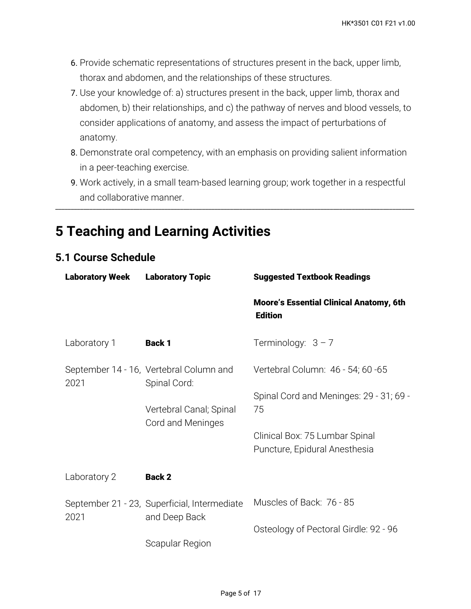- **6**. Provide schematic representations of structures present in the back, upper limb, thorax and abdomen, and the relationships of these structures.
- 7. Use your knowledge of: a) structures present in the back, upper limb, thorax and abdomen, b) their relationships, and c) the pathway of nerves and blood vessels, to consider applications of anatomy, and assess the impact of perturbations of anatomy.
- Demonstrate oral competency, with an emphasis on providing salient information 8. in a peer-teaching exercise.
- Work actively, in a small team-based learning group; work together in a respectful 9. and collaborative manner.

\_\_\_\_\_\_\_\_\_\_\_\_\_\_\_\_\_\_\_\_\_\_\_\_\_\_\_\_\_\_\_\_\_\_\_\_\_\_\_\_\_\_\_\_\_\_\_\_\_\_\_\_\_\_\_\_\_\_\_\_\_\_\_\_\_\_\_\_\_\_\_\_\_\_\_\_\_\_\_\_\_\_\_\_\_\_\_\_\_\_\_\_\_\_\_\_\_\_\_\_\_\_\_\_\_\_\_\_\_\_\_\_\_\_\_

# **5 Teaching and Learning Activities**

# **5.1 Course Schedule**

| <b>Laboratory Week</b> | <b>Laboratory Topic</b>                                       | <b>Suggested Textbook Readings</b>                               |
|------------------------|---------------------------------------------------------------|------------------------------------------------------------------|
|                        |                                                               | <b>Moore's Essential Clinical Anatomy, 6th</b><br><b>Edition</b> |
| Laboratory 1           | <b>Back 1</b>                                                 | Terminology: $3 - 7$                                             |
| 2021                   | September 14 - 16, Vertebral Column and<br>Spinal Cord:       | Vertebral Column: 46 - 54; 60 - 65                               |
|                        | Vertebral Canal; Spinal<br>Cord and Meninges                  | Spinal Cord and Meninges: 29 - 31; 69 -<br>75                    |
|                        |                                                               | Clinical Box: 75 Lumbar Spinal<br>Puncture, Epidural Anesthesia  |
| Laboratory 2           | <b>Back 2</b>                                                 |                                                                  |
| 2021                   | September 21 - 23, Superficial, Intermediate<br>and Deep Back | Muscles of Back: 76 - 85                                         |
|                        | Scapular Region                                               | Osteology of Pectoral Girdle: 92 - 96                            |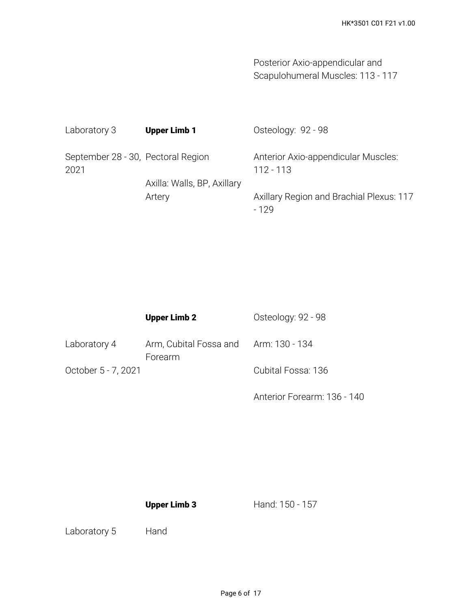Posterior Axio-appendicular and Scapulohumeral Muscles: 113 - 117

| Laboratory 3                               | <b>Upper Limb 1</b>         | Osteology: 92 - 98                                 |
|--------------------------------------------|-----------------------------|----------------------------------------------------|
| September 28 - 30, Pectoral Region<br>2021 |                             | Anterior Axio-appendicular Muscles:<br>$112 - 113$ |
|                                            | Axilla: Walls, BP, Axillary |                                                    |
|                                            | Artery                      | Axillary Region and Brachial Plexus: 117<br>- 129  |

|                     | <b>Upper Limb 2</b>                              | Osteology: 92 - 98 |
|---------------------|--------------------------------------------------|--------------------|
| Laboratory 4        | Arm, Cubital Fossa and Arm: 130 - 134<br>Forearm |                    |
| October 5 - 7, 2021 |                                                  | Cubital Fossa: 136 |

Anterior Forearm: 136 - 140

**Upper Limb 3**

Hand: 150 - 157

Laboratory 5 Hand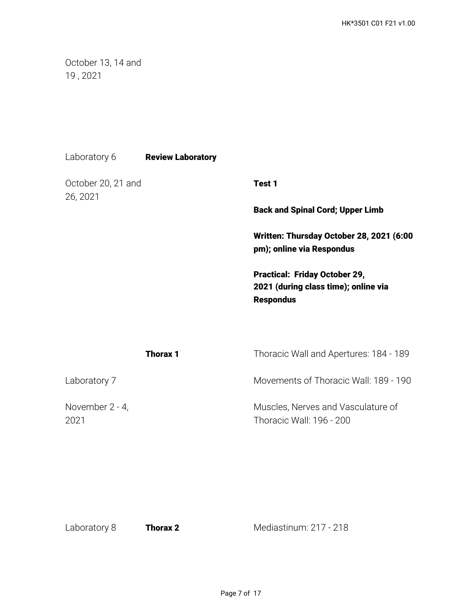October 13, 14 and 19 , 2021

| Laboratory 6 | <b>Review Laboratory</b> |
|--------------|--------------------------|
|--------------|--------------------------|

October 20, 21 and 26, 2021

**Test 1**

**Back and Spinal Cord; Upper Limb**

**Written: Thursday October 28, 2021 (6:00 pm); online via Respondus** 

**Practical: Friday October 29, 2021 (during class time); online via Respondus**

| Thorax 1                | Thoracic Wall and Apertures: 184 - 189                         |
|-------------------------|----------------------------------------------------------------|
| Laboratory 7            | Movements of Thoracic Wall: 189 - 190                          |
| November 2 - 4,<br>2021 | Muscles, Nerves and Vasculature of<br>Thoracic Wall: 196 - 200 |

Laboratory 8 **Thorax 2** Mediastinum: 217 - 218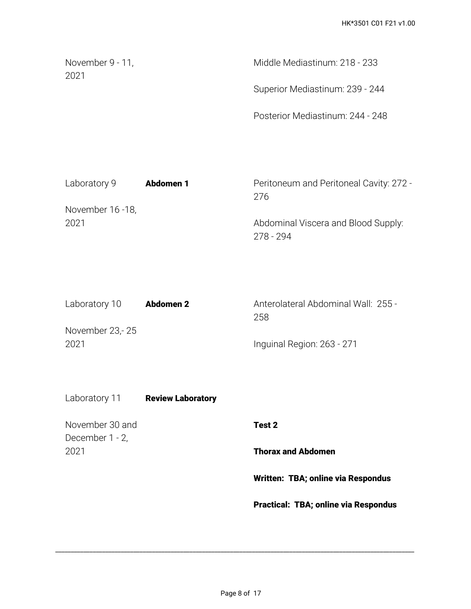| November 9 - 11,<br>-2021 | Middle Mediastinum: 218 - 233    |
|---------------------------|----------------------------------|
|                           | Superior Mediastinum: 239 - 244  |
|                           | Posterior Mediastinum: 244 - 248 |

| Laboratory 9     | <b>Abdomen 1</b> | Peritoneum and Peritoneal Cavity: 272 - |
|------------------|------------------|-----------------------------------------|
|                  |                  | 276                                     |
| November 16 -18, |                  |                                         |
| 2021             |                  | Abdominal Viscera and Blood Supply:     |
|                  |                  | 278 - 294                               |

| Laboratory 10   | <b>Abdomen 2</b> | Anterolateral Abdominal Wall: 255 - |  |
|-----------------|------------------|-------------------------------------|--|
|                 |                  | 258                                 |  |
| November 23,-25 |                  |                                     |  |
| 2021            |                  | Inguinal Region: 263 - 271          |  |

Laboratory 11 **Review Laboratory** 

November 30 and December 1 - 2, 2021

**Test 2**

**Thorax and Abdomen**

**Written: TBA; online via Respondus**

**Practical: TBA; online via Respondus**

\_\_\_\_\_\_\_\_\_\_\_\_\_\_\_\_\_\_\_\_\_\_\_\_\_\_\_\_\_\_\_\_\_\_\_\_\_\_\_\_\_\_\_\_\_\_\_\_\_\_\_\_\_\_\_\_\_\_\_\_\_\_\_\_\_\_\_\_\_\_\_\_\_\_\_\_\_\_\_\_\_\_\_\_\_\_\_\_\_\_\_\_\_\_\_\_\_\_\_\_\_\_\_\_\_\_\_\_\_\_\_\_\_\_\_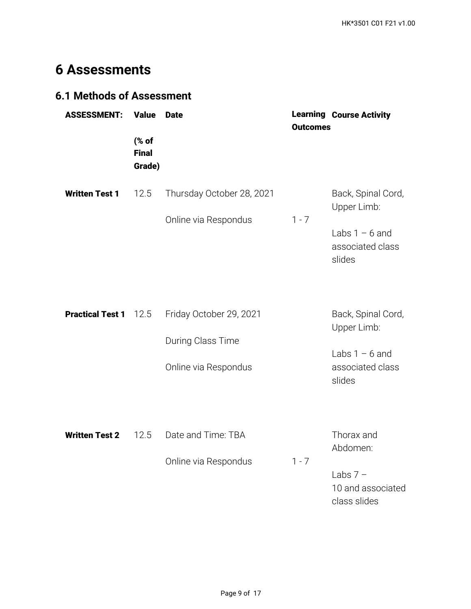# **6 Assessments**

# **6.1 Methods of Assessment**

| <b>ASSESSMENT:</b>      | <b>Value</b>                    | <b>Date</b>                                                          | <b>Outcomes</b> | <b>Learning Course Activity</b>                                                     |
|-------------------------|---------------------------------|----------------------------------------------------------------------|-----------------|-------------------------------------------------------------------------------------|
|                         | (% of<br><b>Final</b><br>Grade) |                                                                      |                 |                                                                                     |
| <b>Written Test 1</b>   | 12.5                            | Thursday October 28, 2021                                            |                 | Back, Spinal Cord,<br>Upper Limb:                                                   |
|                         |                                 | Online via Respondus                                                 | $1 - 7$         | Labs $1 - 6$ and<br>associated class<br>slides                                      |
| <b>Practical Test 1</b> | 12.5                            | Friday October 29, 2021<br>During Class Time<br>Online via Respondus |                 | Back, Spinal Cord,<br>Upper Limb:<br>Labs $1 - 6$ and<br>associated class<br>slides |
| <b>Written Test 2</b>   | 12.5                            | Date and Time: TBA<br>Online via Respondus                           | $1 - 7$         | Thorax and<br>Abdomen:<br>Labs $7 -$<br>10 and associated                           |

class slides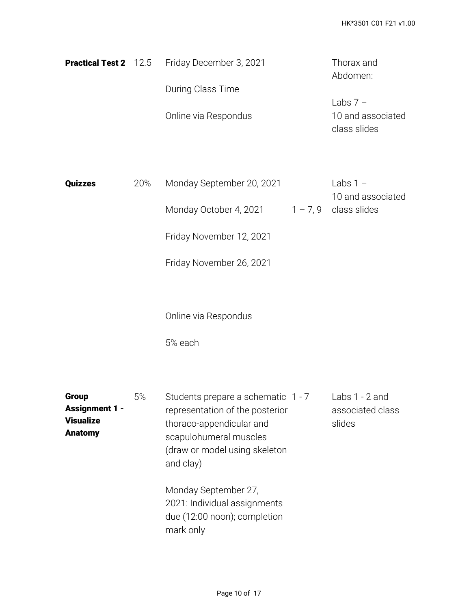|  | <b>Practical Test 2</b> 12.5 Friday December 3, 2021 | Thorax and        |
|--|------------------------------------------------------|-------------------|
|  |                                                      | Abdomen:          |
|  | During Class Time                                    |                   |
|  |                                                      | Labs $7 -$        |
|  | Online via Respondus                                 | 10 and associated |
|  |                                                      | class slides      |

| Quizzes | 20% | Monday September 20, 2021 | Labs $1 -$             |
|---------|-----|---------------------------|------------------------|
|         |     |                           | 10 and associated      |
|         |     | Monday October 4, 2021    | $1 - 7.9$ class slides |

Friday November 12, 2021

Friday November 26, 2021

Online via Respondus

5% each

| <b>Group</b>          | 5% | Students prepare a schematic 1 - 7 | Labs $1 - 2$ and |
|-----------------------|----|------------------------------------|------------------|
| <b>Assignment 1 -</b> |    | representation of the posterior    | associated class |
| <b>Visualize</b>      |    | thoraco-appendicular and           | slides           |
| <b>Anatomy</b>        |    | scapulohumeral muscles             |                  |
|                       |    | (draw or model using skeleton      |                  |
|                       |    | and clay)                          |                  |
|                       |    | Monday September 27,               |                  |
|                       |    | 2021: Individual assignments       |                  |
|                       |    | due (12:00 noon); completion       |                  |
|                       |    | mark only                          |                  |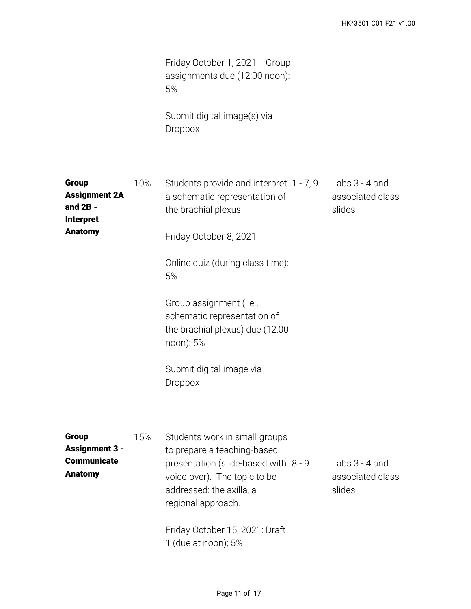Friday October 1, 2021 - Group assignments due (12:00 noon): 5%

Submit digital image(s) via Dropbox

| <b>Group</b><br><b>Assignment 2A</b><br>and $2B -$<br><b>Interpret</b><br><b>Anatomy</b> | 10% | Students provide and interpret 1 - 7, 9<br>a schematic representation of<br>the brachial plexus<br>Friday October 8, 2021<br>Online quiz (during class time):<br>5%<br>Group assignment (i.e.,<br>schematic representation of<br>the brachial plexus) due (12:00<br>noon): 5%<br>Submit digital image via<br>Dropbox | Labs $3 - 4$ and<br>associated class<br>slides |
|------------------------------------------------------------------------------------------|-----|----------------------------------------------------------------------------------------------------------------------------------------------------------------------------------------------------------------------------------------------------------------------------------------------------------------------|------------------------------------------------|
| <b>Group</b><br><b>Assignment 3 -</b><br><b>Communicate</b><br><b>Anatomy</b>            | 15% | Students work in small groups<br>to prepare a teaching-based<br>presentation (slide-based with 8 - 9<br>voice-over). The topic to be<br>addressed: the axilla, a<br>regional approach.<br>Friday October 15, 2021: Draft<br>1 (due at noon); 5%                                                                      | Labs $3 - 4$ and<br>associated class<br>slides |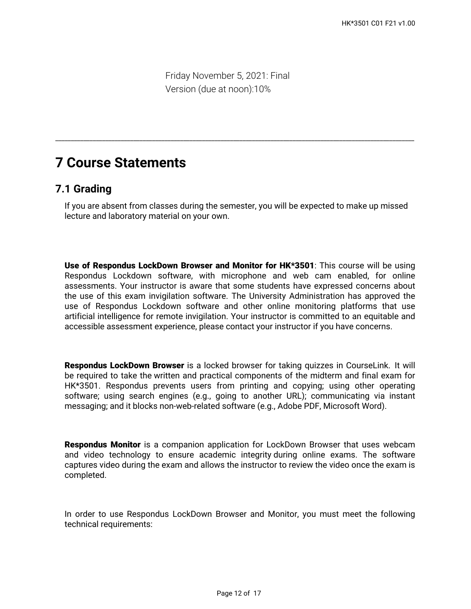Friday November 5, 2021: Final Version (due at noon):10%

# **7 Course Statements**

## **7.1 Grading**

If you are absent from classes during the semester, you will be expected to make up missed lecture and laboratory material on your own.

\_\_\_\_\_\_\_\_\_\_\_\_\_\_\_\_\_\_\_\_\_\_\_\_\_\_\_\_\_\_\_\_\_\_\_\_\_\_\_\_\_\_\_\_\_\_\_\_\_\_\_\_\_\_\_\_\_\_\_\_\_\_\_\_\_\_\_\_\_\_\_\_\_\_\_\_\_\_\_\_\_\_\_\_\_\_\_\_\_\_\_\_\_\_\_\_\_\_\_\_\_\_\_\_\_\_\_\_\_\_\_\_\_\_\_

**Use of Respondus LockDown Browser and Monitor for HK\*3501**: This course will be using Respondus Lockdown software, with microphone and web cam enabled, for online assessments. Your instructor is aware that some students have expressed concerns about the use of this exam invigilation software. The University Administration has approved the use of Respondus Lockdown software and other online monitoring platforms that use artificial intelligence for remote invigilation. Your instructor is committed to an equitable and accessible assessment experience, please contact your instructor if you have concerns.

**Respondus LockDown Browser** is a locked browser for taking quizzes in CourseLink. It will be required to take the written and practical components of the midterm and final exam for HK\*3501. Respondus prevents users from printing and copying; using other operating software; using search engines (e.g., going to another URL); communicating via instant messaging; and it blocks non-web-related software (e.g., Adobe PDF, Microsoft Word).

**Respondus Monitor** is a companion application for LockDown Browser that uses webcam and video technology to ensure academic integrity during online exams. The software captures video during the exam and allows the instructor to review the video once the exam is completed.

In order to use Respondus LockDown Browser and Monitor, you must meet the following technical requirements: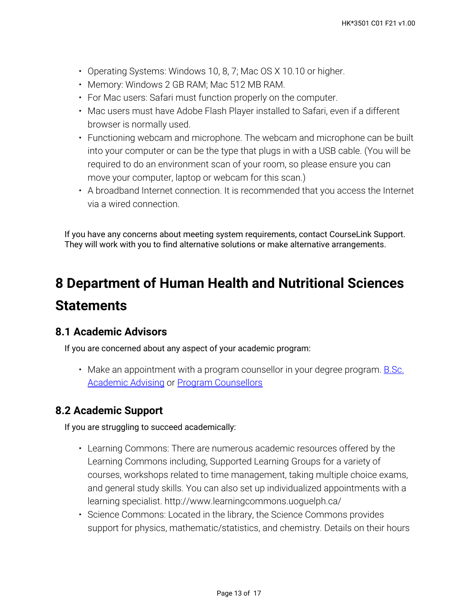- Operating Systems: Windows 10, 8, 7; Mac OS X 10.10 or higher.
- Memory: Windows 2 GB RAM; Mac 512 MB RAM.
- For Mac users: Safari must function properly on the computer.
- Mac users must have Adobe Flash Player installed to Safari, even if a different browser is normally used.
- Functioning webcam and microphone. The webcam and microphone can be built into your computer or can be the type that plugs in with a USB cable. (You will be required to do an environment scan of your room, so please ensure you can move your computer, laptop or webcam for this scan.)
- A broadband Internet connection. It is recommended that you access the Internet via a wired connection.

If you have any concerns about meeting system requirements, contact CourseLink Support. They will work with you to find alternative solutions or make alternative arrangements.

# **8 Department of Human Health and Nutritional Sciences Statements**

## **8.1 Academic Advisors**

If you are concerned about any aspect of your academic program:

• Make an appointment with a program counsellor in your degree program. <u>B.Sc.</u> **[Academic Advising](https://bsc.uoguelph.ca/) or [Program Counsellors](https://www.uoguelph.ca/uaic/programcounsellors)** 

## **8.2 Academic Support**

If you are struggling to succeed academically:

- Learning Commons: There are numerous academic resources offered by the Learning Commons including, Supported Learning Groups for a variety of courses, workshops related to time management, taking multiple choice exams, and general study skills. You can also set up individualized appointments with a learning specialist. http://www.learningcommons.uoguelph.ca/
- Science Commons: Located in the library, the Science Commons provides support for physics, mathematic/statistics, and chemistry. Details on their hours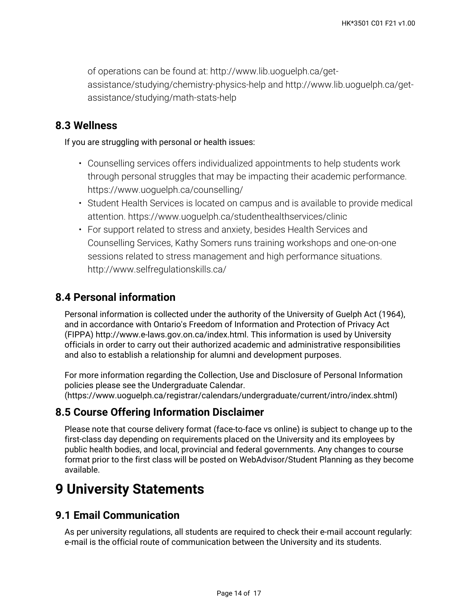of operations can be found at: http://www.lib.uoguelph.ca/getassistance/studying/chemistry-physics-help and http://www.lib.uoguelph.ca/getassistance/studying/math-stats-help

# **8.3 Wellness**

If you are struggling with personal or health issues:

- Counselling services offers individualized appointments to help students work through personal struggles that may be impacting their academic performance. https://www.uoguelph.ca/counselling/
- Student Health Services is located on campus and is available to provide medical attention. https://www.uoguelph.ca/studenthealthservices/clinic
- For support related to stress and anxiety, besides Health Services and Counselling Services, Kathy Somers runs training workshops and one-on-one sessions related to stress management and high performance situations. http://www.selfregulationskills.ca/

# **8.4 Personal information**

Personal information is collected under the authority of the University of Guelph Act (1964), and in accordance with Ontario's Freedom of Information and Protection of Privacy Act (FIPPA) http://www.e-laws.gov.on.ca/index.html. This information is used by University officials in order to carry out their authorized academic and administrative responsibilities and also to establish a relationship for alumni and development purposes.

For more information regarding the Collection, Use and Disclosure of Personal Information policies please see the Undergraduate Calendar. (https://www.uoguelph.ca/registrar/calendars/undergraduate/current/intro/index.shtml)

# **8.5 Course Offering Information Disclaimer**

Please note that course delivery format (face-to-face vs online) is subject to change up to the first-class day depending on requirements placed on the University and its employees by public health bodies, and local, provincial and federal governments. Any changes to course format prior to the first class will be posted on WebAdvisor/Student Planning as they become available.

# **9 University Statements**

## **9.1 Email Communication**

As per university regulations, all students are required to check their e-mail account regularly: e-mail is the official route of communication between the University and its students.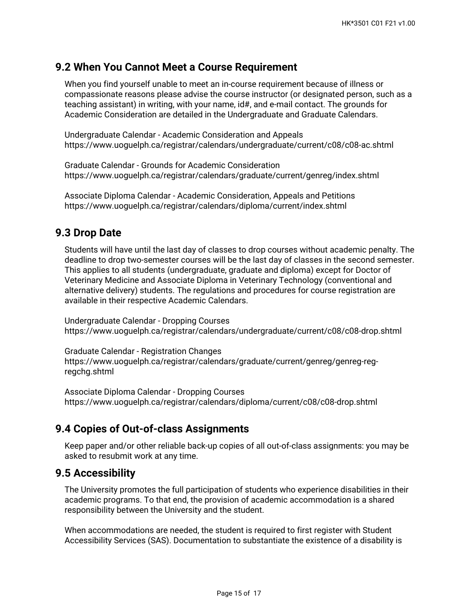## **9.2 When You Cannot Meet a Course Requirement**

When you find yourself unable to meet an in-course requirement because of illness or compassionate reasons please advise the course instructor (or designated person, such as a teaching assistant) in writing, with your name, id#, and e-mail contact. The grounds for Academic Consideration are detailed in the Undergraduate and Graduate Calendars.

Undergraduate Calendar - Academic Consideration and Appeals https://www.uoguelph.ca/registrar/calendars/undergraduate/current/c08/c08-ac.shtml

Graduate Calendar - Grounds for Academic Consideration https://www.uoguelph.ca/registrar/calendars/graduate/current/genreg/index.shtml

Associate Diploma Calendar - Academic Consideration, Appeals and Petitions https://www.uoguelph.ca/registrar/calendars/diploma/current/index.shtml

#### **9.3 Drop Date**

Students will have until the last day of classes to drop courses without academic penalty. The deadline to drop two-semester courses will be the last day of classes in the second semester. This applies to all students (undergraduate, graduate and diploma) except for Doctor of Veterinary Medicine and Associate Diploma in Veterinary Technology (conventional and alternative delivery) students. The regulations and procedures for course registration are available in their respective Academic Calendars.

Undergraduate Calendar - Dropping Courses https://www.uoguelph.ca/registrar/calendars/undergraduate/current/c08/c08-drop.shtml

Graduate Calendar - Registration Changes https://www.uoguelph.ca/registrar/calendars/graduate/current/genreg/genreg-regregchg.shtml

Associate Diploma Calendar - Dropping Courses https://www.uoguelph.ca/registrar/calendars/diploma/current/c08/c08-drop.shtml

## **9.4 Copies of Out-of-class Assignments**

Keep paper and/or other reliable back-up copies of all out-of-class assignments: you may be asked to resubmit work at any time.

#### **9.5 Accessibility**

The University promotes the full participation of students who experience disabilities in their academic programs. To that end, the provision of academic accommodation is a shared responsibility between the University and the student.

When accommodations are needed, the student is required to first register with Student Accessibility Services (SAS). Documentation to substantiate the existence of a disability is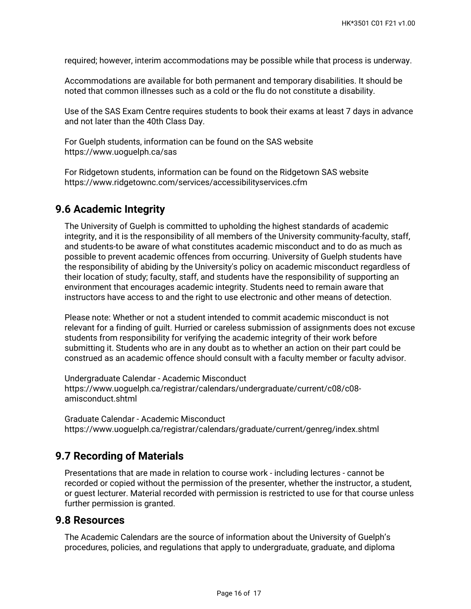required; however, interim accommodations may be possible while that process is underway.

Accommodations are available for both permanent and temporary disabilities. It should be noted that common illnesses such as a cold or the flu do not constitute a disability.

Use of the SAS Exam Centre requires students to book their exams at least 7 days in advance and not later than the 40th Class Day.

For Guelph students, information can be found on the SAS website https://www.uoguelph.ca/sas

For Ridgetown students, information can be found on the Ridgetown SAS website https://www.ridgetownc.com/services/accessibilityservices.cfm

### **9.6 Academic Integrity**

The University of Guelph is committed to upholding the highest standards of academic integrity, and it is the responsibility of all members of the University community-faculty, staff, and students-to be aware of what constitutes academic misconduct and to do as much as possible to prevent academic offences from occurring. University of Guelph students have the responsibility of abiding by the University's policy on academic misconduct regardless of their location of study; faculty, staff, and students have the responsibility of supporting an environment that encourages academic integrity. Students need to remain aware that instructors have access to and the right to use electronic and other means of detection.

Please note: Whether or not a student intended to commit academic misconduct is not relevant for a finding of guilt. Hurried or careless submission of assignments does not excuse students from responsibility for verifying the academic integrity of their work before submitting it. Students who are in any doubt as to whether an action on their part could be construed as an academic offence should consult with a faculty member or faculty advisor.

Undergraduate Calendar - Academic Misconduct https://www.uoguelph.ca/registrar/calendars/undergraduate/current/c08/c08 amisconduct.shtml

Graduate Calendar - Academic Misconduct https://www.uoguelph.ca/registrar/calendars/graduate/current/genreg/index.shtml

## **9.7 Recording of Materials**

Presentations that are made in relation to course work - including lectures - cannot be recorded or copied without the permission of the presenter, whether the instructor, a student, or guest lecturer. Material recorded with permission is restricted to use for that course unless further permission is granted.

#### **9.8 Resources**

The Academic Calendars are the source of information about the University of Guelph's procedures, policies, and regulations that apply to undergraduate, graduate, and diploma